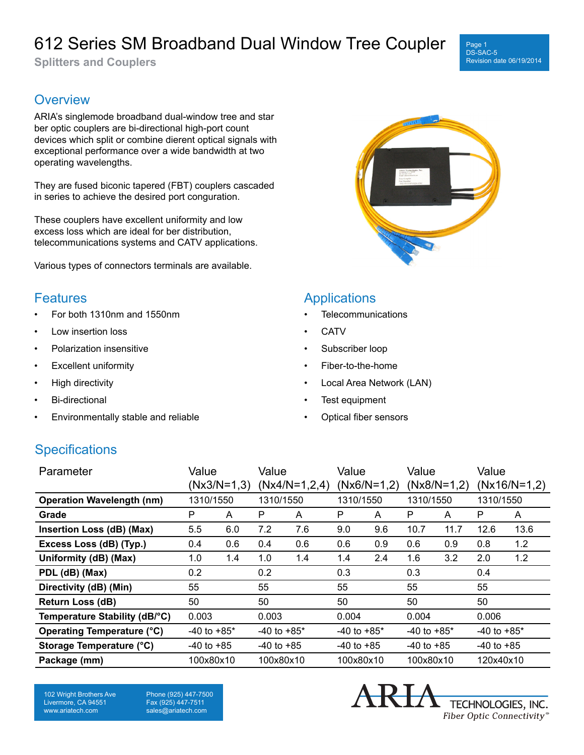# 612 Series SM Broadband Dual Window Tree Coupler

**Splitters and Couplers**

#### Page 1 DS-SAC-5 Revision date 06/19/2014

## **Overview**

ARIA's singlemode broadband dual-window tree and star ber optic couplers are bi-directional high-port count devices which split or combine dierent optical signals with exceptional performance over a wide bandwidth at two operating wavelengths.

They are fused biconic tapered (FBT) couplers cascaded in series to achieve the desired port conguration.

These couplers have excellent uniformity and low excess loss which are ideal for ber distribution, telecommunications systems and CATV applications.

Various types of connectors terminals are available.

### **Features**

- For both 1310nm and 1550nm
- Low insertion loss
- Polarization insensitive
- **Excellent uniformity**
- High directivity
- Bi-directional
- Environmentally stable and reliable



### **Applications**

- **Telecommunications**
- **CATV**
- Subscriber loop
- Fiber-to-the-home
- Local Area Network (LAN)
- Test equipment
- Optical fiber sensors

## **Specifications**

| Parameter                        | Value<br>$(Nx3/N=1,3)$ |     | Value<br>$(Nx4/N=1,2,4)$ |     | Value<br>$(Nx6/N=1,2)$ |     | Value<br>$(Nx8/N=1,2)$ |      | Value<br>$(Nx16/N=1,2)$ |      |
|----------------------------------|------------------------|-----|--------------------------|-----|------------------------|-----|------------------------|------|-------------------------|------|
| <b>Operation Wavelength (nm)</b> | 1310/1550              |     | 1310/1550                |     | 1310/1550              |     | 1310/1550              |      | 1310/1550               |      |
| Grade                            | P                      | A   | P                        | A   | P                      | A   | P                      | A    | P                       | A    |
| Insertion Loss (dB) (Max)        | 5.5                    | 6.0 | 7.2                      | 7.6 | 9.0                    | 9.6 | 10.7                   | 11.7 | 12.6                    | 13.6 |
| Excess Loss (dB) (Typ.)          | 0.4                    | 0.6 | 0.4                      | 0.6 | 0.6                    | 0.9 | 0.6                    | 0.9  | 0.8                     | 1.2  |
| Uniformity (dB) (Max)            | 1.0                    | 1.4 | 1.0                      | 1.4 | 1.4                    | 2.4 | 1.6                    | 3.2  | 2.0                     | 1.2  |
| PDL (dB) (Max)                   | 0.2                    |     | 0.2                      |     | 0.3                    |     | 0.3                    |      | 0.4                     |      |
| Directivity (dB) (Min)           | 55                     |     | 55                       |     | 55                     |     | 55                     |      | 55                      |      |
| <b>Return Loss (dB)</b>          | 50                     |     | 50                       |     | 50                     |     | 50                     |      | 50                      |      |
| Temperature Stability (dB/°C)    | 0.003                  |     | 0.003                    |     | 0.004                  |     | 0.004                  |      | 0.006                   |      |
| Operating Temperature (°C)       | $-40$ to $+85$ *       |     | $-40$ to $+85$ *         |     | $-40$ to $+85$ *       |     | $-40$ to $+85*$        |      | $-40$ to $+85$ *        |      |
| <b>Storage Temperature (°C)</b>  | $-40$ to $+85$         |     | $-40$ to $+85$           |     | $-40$ to $+85$         |     | $-40$ to $+85$         |      | $-40$ to $+85$          |      |
| Package (mm)                     | 100x80x10              |     | 100x80x10                |     | 100x80x10              |     | 100x80x10              |      | 120x40x10               |      |

102 Wright Brothers Ave Livermore, CA 94551 www.ariatech.com

Phone (925) 447-7500 Fax (925) 447-7511 sales@ariatech.com

TECHNOLOGIES, INC. Fiber Optic Connectivity®